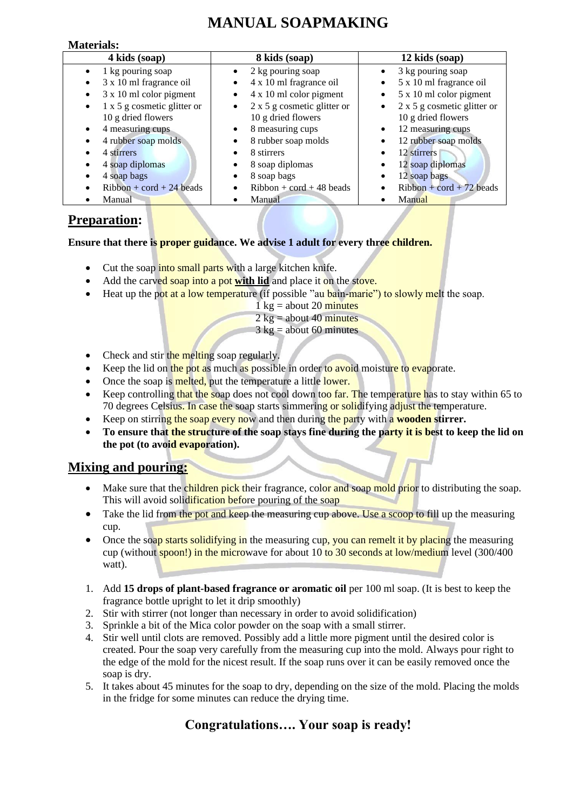## **MANUAL SOAPMAKING**

#### **Materials:**

| 4 kids (soap)                           | 8 kids (soap)                                   | 12 kids (soap)                                  |
|-----------------------------------------|-------------------------------------------------|-------------------------------------------------|
| 1 kg pouring soap                       | 2 kg pouring soap<br>$\bullet$                  | 3 kg pouring soap<br>$\bullet$                  |
| 3 x 10 ml fragrance oil                 | 4 x 10 ml fragrance oil<br>$\bullet$            | 5 x 10 ml fragrance oil<br>$\bullet$            |
| 3 x 10 ml color pigment                 | 4 x 10 ml color pigment<br>$\bullet$            | 5 x 10 ml color pigment<br>$\bullet$            |
| $1 \times 5$ g cosmetic glitter or<br>٠ | $2 \times 5$ g cosmetic glitter or<br>$\bullet$ | $2 \times 5$ g cosmetic glitter or<br>$\bullet$ |
| 10 g dried flowers                      | 10 g dried flowers                              | 10 g dried flowers                              |
| 4 measuring cups                        | 8 measuring cups<br>$\bullet$                   | 12 measuring cups<br>$\bullet$                  |
| 4 rubber soap molds                     | 8 rubber soap molds<br>$\bullet$                | 12 rubber soap molds<br>٠                       |
| 4 stirrers                              | 8 stirrers<br>$\bullet$                         | 12 stirrers                                     |
| 4 soap diplomas                         | 8 soap diplomas<br>٠                            | 12 soap diplomas                                |
| 4 soap bags                             | 8 soap bags<br>$\bullet$                        | 12 soap bags                                    |
| $Ribbon + cord + 24 beads$              | $Ribbon + cord + 48 beads$                      | $Ribbon + cord + 72 beads$                      |
| Manual                                  | Manual                                          | Manual                                          |

### **Preparation:**

**Ensure that there is proper guidance. We advise 1 adult for every three children.**

- Cut the soap into small parts with a large kitchen knife.
- Add the carved soap into a pot with lid and place it on the stove.
- Heat up the pot at a low temperature (if possible "au bain-marie") to slowly melt the soap.
	- $1 \text{ kg} =$  about 20 minutes
	- $2 \text{ kg} =$  about 40 minutes
	- $3 \text{ kg} =$  about 60 minutes
- Check and stir the melting soap regularly.
- Keep the lid on the pot as much as possible in order to avoid moisture to evaporate.
- Once the soap is melted, put the temperature a little lower.
- Keep controlling that the soap does not cool down too far. The temperature has to stay within 65 to 70 degrees Celsius. In case the soap starts simmering or solidifying adjust the temperature.
- Keep on stirring the soap every now and then during the party with a **wooden stirrer.**
- **To ensure that the structure of the soap stays fine during the party it is best to keep the lid on the pot (to avoid evaporation).**

## **Mixing and pouring:**

- Make sure that the children pick their fragrance, color and soap mold prior to distributing the soap. This will avoid solidification before pouring of the soap
- Take the lid from the pot and keep the measuring cup above. Use a scoop to fill up the measuring cup.
- Once the soap starts solidifying in the measuring cup, you can remelt it by placing the measuring cup (without spoon!) in the microwave for about 10 to 30 seconds at low/medium level (300/400 watt).
- 1. Add **15 drops of plant-based fragrance or aromatic oil** per 100 ml soap. (It is best to keep the fragrance bottle upright to let it drip smoothly)
- 2. Stir with stirrer (not longer than necessary in order to avoid solidification)
- 3. Sprinkle a bit of the Mica color powder on the soap with a small stirrer.
- 4. Stir well until clots are removed. Possibly add a little more pigment until the desired color is created. Pour the soap very carefully from the measuring cup into the mold. Always pour right to the edge of the mold for the nicest result. If the soap runs over it can be easily removed once the soap is dry.
- 5. It takes about 45 minutes for the soap to dry, depending on the size of the mold. Placing the molds in the fridge for some minutes can reduce the drying time.

## **Congratulations…. Your soap is ready!**